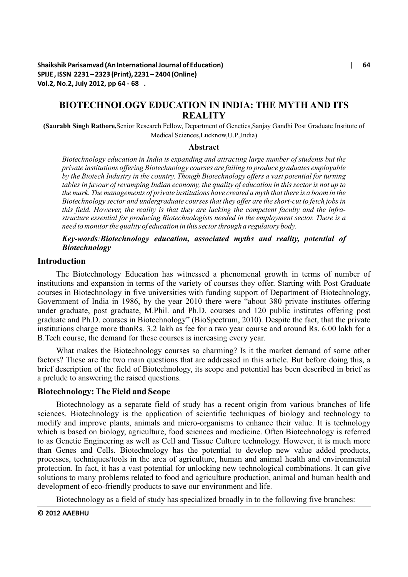**Shaikshik Parisamvad (An International Journal of Education) | 64 SPIJE , ISSN 2231 – 2323 (Print), 2231 – 2404 (Online) Vol.2, No.2, July 2012, pp 64 - 68 .**

# **BIOTECHNOLOGY EDUCATION IN INDIA: THE MYTH AND ITS REALITY**

**(Saurabh Singh Rathore,**Senior Research Fellow, Department of Genetics,Sanjay Gandhi Post Graduate Institute of Medical Sciences,Lucknow,U.P.,India)

#### **Abstract**

*Biotechnology education in India is expanding and attracting large number of students but the private institutions offering Biotechnology courses are failing to produce graduates employable by the Biotech Industry in the country. Though Biotechnology offers a vast potential for turning tables in favour of revamping Indian economy, the quality of education in this sector is not up to the mark. The managements of private institutions have created a myth that there is a boom in the Biotechnology sector and undergraduate courses that they offer are the short-cut to fetch jobs in this field. However, the reality is that they are lacking the competent faculty and the infrastructure essential for producing Biotechnologists needed in the employment sector. There is a need to monitor the quality of education in this sector through a regulatory body.*

# *Key-words:Biotechnology education, associated myths and reality, potential of Biotechnology*

## **Introduction**

The Biotechnology Education has witnessed a phenomenal growth in terms of number of institutions and expansion in terms of the variety of courses they offer. Starting with Post Graduate courses in Biotechnology in five universities with funding support of Department of Biotechnology, Government of India in 1986, by the year 2010 there were "about 380 private institutes offering under graduate, post graduate, M.Phil. and Ph.D. courses and 120 public institutes offering post graduate and Ph.D. courses in Biotechnology" (BioSpectrum, 2010). Despite the fact, that the private institutions charge more thanRs. 3.2 lakh as fee for a two year course and around Rs. 6.00 lakh for a B.Tech course, the demand for these courses is increasing every year.

What makes the Biotechnology courses so charming? Is it the market demand of some other factors? These are the two main questions that are addressed in this article. But before doing this, a brief description of the field of Biotechnology, its scope and potential has been described in brief as a prelude to answering the raised questions.

## **Biotechnology: The Field and Scope**

Biotechnology as a separate field of study has a recent origin from various branches of life sciences. Biotechnology is the application of scientific techniques of biology and technology to modify and improve plants, animals and micro-organisms to enhance their value. It is technology which is based on biology, agriculture, food sciences and medicine. Often Biotechnology is referred to as Genetic Engineering as well as Cell and Tissue Culture technology. However, it is much more than Genes and Cells. Biotechnology has the potential to develop new value added products, processes, techniques/tools in the area of agriculture, human and animal health and environmental protection. In fact, it has a vast potential for unlocking new technological combinations. It can give solutions to many problems related to food and agriculture production, animal and human health and development of eco-friendly products to save our environment and life.

Biotechnology as a field of study has specialized broadly in to the following five branches: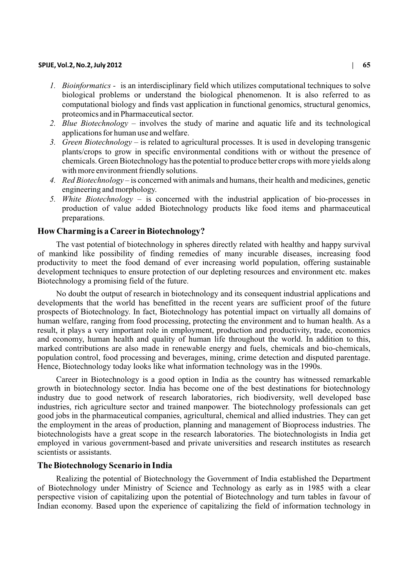### **SPIJE, Vol.2, No.2, July 2012 | 65**

- *1. Bioinformatics -* is an interdisciplinary field which utilizes computational techniques to solve biological problems or understand the biological phenomenon. It is also referred to as computational biology and finds vast application in functional genomics, structural genomics, proteomics and in Pharmaceutical sector.
- *2. Blue Biotechnology* involves the study of marine and aquatic life and its technological applications for human use and welfare.
- *3. Green Biotechnology* is related to agricultural processes. It is used in developing transgenic plants/crops to grow in specific environmental conditions with or without the presence of chemicals. Green Biotechnology has the potential to produce better crops with more yields along with more environment friendly solutions.
- *4. Red Biotechnology* is concerned with animals and humans, their health and medicines, genetic engineering and morphology.
- *5. White Biotechnology* is concerned with the industrial application of bio-processes in production of value added Biotechnology products like food items and pharmaceutical preparations.

# **How Charming is a Career in Biotechnology?**

The vast potential of biotechnology in spheres directly related with healthy and happy survival of mankind like possibility of finding remedies of many incurable diseases, increasing food productivity to meet the food demand of ever increasing world population, offering sustainable development techniques to ensure protection of our depleting resources and environment etc. makes Biotechnology a promising field of the future.

No doubt the output of research in biotechnology and its consequent industrial applications and developments that the world has benefitted in the recent years are sufficient proof of the future prospects of Biotechnology. In fact, Biotechnology has potential impact on virtually all domains of human welfare, ranging from food processing, protecting the environment and to human health. As a result, it plays a very important role in employment, production and productivity, trade, economics and economy, human health and quality of human life throughout the world. In addition to this, marked contributions are also made in renewable energy and fuels, chemicals and bio-chemicals, population control, food processing and beverages, mining, crime detection and disputed parentage. Hence, Biotechnology today looks like what information technology was in the 1990s.

Career in Biotechnology is a good option in India as the country has witnessed remarkable growth in biotechnology sector. India has become one of the best destinations for biotechnology industry due to good network of research laboratories, rich biodiversity, well developed base industries, rich agriculture sector and trained manpower. The biotechnology professionals can get good jobs in the pharmaceutical companies, agricultural, chemical and allied industries. They can get the employment in the areas of production, planning and management of Bioprocess industries. The biotechnologists have a great scope in the research laboratories. The biotechnologists in India get employed in various government-based and private universities and research institutes as research scientists or assistants.

# **The Biotechnology Scenario in India**

Realizing the potential of Biotechnology the Government of India established the Department of Biotechnology under Ministry of Science and Technology as early as in 1985 with a clear perspective vision of capitalizing upon the potential of Biotechnology and turn tables in favour of Indian economy. Based upon the experience of capitalizing the field of information technology in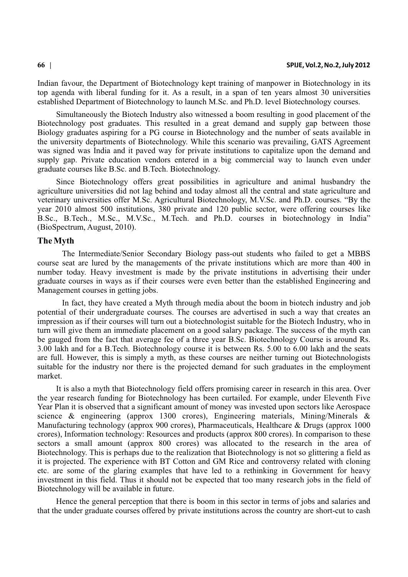Indian favour, the Department of Biotechnology kept training of manpower in Biotechnology in its top agenda with liberal funding for it. As a result, in a span of ten years almost 30 universities established Department of Biotechnology to launch M.Sc. and Ph.D. level Biotechnology courses.

Simultaneously the Biotech Industry also witnessed a boom resulting in good placement of the Biotechnology post graduates. This resulted in a great demand and supply gap between those Biology graduates aspiring for a PG course in Biotechnology and the number of seats available in the university departments of Biotechnology. While this scenario was prevailing, GATS Agreement was signed was India and it paved way for private institutions to capitalize upon the demand and supply gap. Private education vendors entered in a big commercial way to launch even under graduate courses like B.Sc. and B.Tech. Biotechnology.

Since Biotechnology offers great possibilities in agriculture and animal husbandry the agriculture universities did not lag behind and today almost all the central and state agriculture and veterinary universities offer M.Sc. Agricultural Biotechnology, M.V.Sc. and Ph.D. courses. "By the year 2010 almost 500 institutions, 380 private and 120 public sector, were offering courses like B.Sc., B.Tech., M.Sc., M.V.Sc., M.Tech. and Ph.D. courses in biotechnology in India" (BioSpectrum, August, 2010).

# **The Myth**

The Intermediate/Senior Secondary Biology pass-out students who failed to get a MBBS course seat are lured by the managements of the private institutions which are more than 400 in number today. Heavy investment is made by the private institutions in advertising their under graduate courses in ways as if their courses were even better than the established Engineering and Management courses in getting jobs.

In fact, they have created a Myth through media about the boom in biotech industry and job potential of their undergraduate courses. The courses are advertised in such a way that creates an impression as if their courses will turn out a biotechnologist suitable for the Biotech Industry, who in turn will give them an immediate placement on a good salary package. The success of the myth can be gauged from the fact that average fee of a three year B.Sc. Biotechnology Course is around Rs. 3.00 lakh and for a B.Tech. Biotechnology course it is between Rs. 5.00 to 6.00 lakh and the seats are full. However, this is simply a myth, as these courses are neither turning out Biotechnologists suitable for the industry nor there is the projected demand for such graduates in the employment market.

It is also a myth that Biotechnology field offers promising career in research in this area. Over the year research funding for Biotechnology has been curtailed. For example, under Eleventh Five Year Plan it is observed that a significant amount of money was invested upon sectors like Aerospace science & engineering (approx 1300 crores), Engineering materials, Mining/Minerals & Manufacturing technology (approx 900 crores), Pharmaceuticals, Healthcare & Drugs (approx 1000 crores), Information technology: Resources and products (approx 800 crores). In comparison to these sectors a small amount (approx 800 crores) was allocated to the research in the area of Biotechnology. This is perhaps due to the realization that Biotechnology is not so glittering a field as it is projected. The experience with BT Cotton and GM Rice and controversy related with cloning etc. are some of the glaring examples that have led to a rethinking in Government for heavy investment in this field. Thus it should not be expected that too many research jobs in the field of Biotechnology will be available in future.

Hence the general perception that there is boom in this sector in terms of jobs and salaries and that the under graduate courses offered by private institutions across the country are short-cut to cash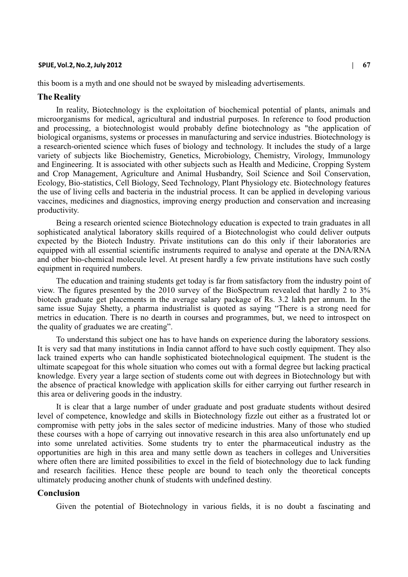#### **SPIJE, Vol.2, No.2, July 2012 | 67**

this boom is a myth and one should not be swayed by misleading advertisements.

## **The Reality**

In reality, Biotechnology is the exploitation of biochemical potential of plants, animals and microorganisms for medical, agricultural and industrial purposes. In reference to food production and processing, a biotechnologist would probably define biotechnology as "the application of biological organisms, systems or processes in manufacturing and service industries. Biotechnology is a research-oriented science which fuses of biology and technology. It includes the study of a large variety of subjects like Biochemistry, Genetics, Microbiology, Chemistry, Virology, Immunology and Engineering. It is associated with other subjects such as Health and Medicine, Cropping System and Crop Management, Agriculture and Animal Husbandry, Soil Science and Soil Conservation, Ecology, Bio-statistics, Cell Biology, Seed Technology, Plant Physiology etc. Biotechnology features the use of living cells and bacteria in the industrial process. It can be applied in developing various vaccines, medicines and diagnostics, improving energy production and conservation and increasing productivity.

Being a research oriented science Biotechnology education is expected to train graduates in all sophisticated analytical laboratory skills required of a Biotechnologist who could deliver outputs expected by the Biotech Industry. Private institutions can do this only if their laboratories are equipped with all essential scientific instruments required to analyse and operate at the DNA/RNA and other bio-chemical molecule level. At present hardly a few private institutions have such costly equipment in required numbers.

The education and training students get today is far from satisfactory from the industry point of view. The figures presented by the 2010 survey of the BioSpectrum revealed that hardly 2 to 3% biotech graduate get placements in the average salary package of Rs. 3.2 lakh per annum. In the same issue Sujay Shetty, a pharma industrialist is quoted as saying "There is a strong need for metrics in education. There is no dearth in courses and programmes, but, we need to introspect on the quality of graduates we are creating".

To understand this subject one has to have hands on experience during the laboratory sessions. It is very sad that many institutions in India cannot afford to have such costly equipment. They also lack trained experts who can handle sophisticated biotechnological equipment. The student is the ultimate scapegoat for this whole situation who comes out with a formal degree but lacking practical knowledge. Every year a large section of students come out with degrees in Biotechnology but with the absence of practical knowledge with application skills for either carrying out further research in this area or delivering goods in the industry.

It is clear that a large number of under graduate and post graduate students without desired level of competence, knowledge and skills in Biotechnology fizzle out either as a frustrated lot or compromise with petty jobs in the sales sector of medicine industries. Many of those who studied these courses with a hope of carrying out innovative research in this area also unfortunately end up into some unrelated activities. Some students try to enter the pharmaceutical industry as the opportunities are high in this area and many settle down as teachers in colleges and Universities where often there are limited possibilities to excel in the field of biotechnology due to lack funding and research facilities. Hence these people are bound to teach only the theoretical concepts ultimately producing another chunk of students with undefined destiny.

# **Conclusion**

Given the potential of Biotechnology in various fields, it is no doubt a fascinating and